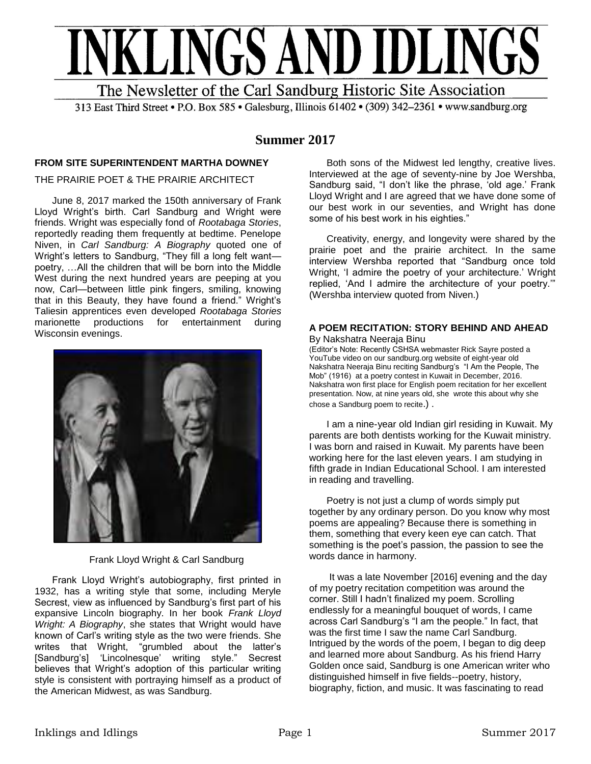

313 East Third Street • P.O. Box 585 • Galesburg, Illinois 61402 • (309) 342-2361 • www.sandburg.org

# **Summer 2017**

## **FROM SITE SUPERINTENDENT MARTHA DOWNEY**

## THE PRAIRIE POET & THE PRAIRIE ARCHITECT

June 8, 2017 marked the 150th anniversary of Frank Lloyd Wright's birth. Carl Sandburg and Wright were friends. Wright was especially fond of *Rootabaga Stories*, reportedly reading them frequently at bedtime. Penelope Niven, in *Carl Sandburg: A Biography* quoted one of Wright's letters to Sandburg, "They fill a long felt want poetry, …All the children that will be born into the Middle West during the next hundred years are peeping at you now, Carl—between little pink fingers, smiling, knowing that in this Beauty, they have found a friend." Wright's Taliesin apprentices even developed *Rootabaga Stories* marionette productions for entertainment during Wisconsin evenings.



Frank Lloyd Wright & Carl Sandburg

Frank Lloyd Wright's autobiography, first printed in 1932, has a writing style that some, including Meryle Secrest, view as influenced by Sandburg's first part of his expansive Lincoln biography. In her book *Frank Lloyd Wright: A Biography*, she states that Wright would have known of Carl's writing style as the two were friends. She writes that Wright, "grumbled about the latter's<br>[Sandburg's] 'Lincolnesque' writing style." Secrest [Sandburg's] 'Lincolnesque' writing style." believes that Wright's adoption of this particular writing style is consistent with portraying himself as a product of the American Midwest, as was Sandburg.

Both sons of the Midwest led lengthy, creative lives. Interviewed at the age of seventy-nine by Joe Wershba, Sandburg said, "I don't like the phrase, 'old age.' Frank Lloyd Wright and I are agreed that we have done some of our best work in our seventies, and Wright has done some of his best work in his eighties."

Creativity, energy, and longevity were shared by the prairie poet and the prairie architect. In the same interview Wershba reported that "Sandburg once told Wright, 'I admire the poetry of your architecture.' Wright replied, 'And I admire the architecture of your poetry.'" (Wershba interview quoted from Niven.)

#### **A POEM RECITATION: STORY BEHIND AND AHEAD** By Nakshatra Neeraja Binu

(Editor's Note: Recently CSHSA webmaster Rick Sayre posted a YouTube video on our sandburg.org website of eight-year old Nakshatra Neeraja Binu reciting Sandburg's "I Am the People, The Mob" (1916) at a poetry contest in Kuwait in December, 2016. Nakshatra won first place for English poem recitation for her excellent presentation. Now, at nine years old, she wrote this about why she chose a Sandburg poem to recite.) .

I am a nine-year old Indian girl residing in Kuwait. My parents are both dentists working for the Kuwait ministry. I was born and raised in Kuwait. My parents have been working here for the last eleven years. I am studying in fifth grade in Indian Educational School. I am interested in reading and travelling.

Poetry is not just a clump of words simply put together by any ordinary person. Do you know why most poems are appealing? Because there is something in them, something that every keen eye can catch. That something is the poet's passion, the passion to see the words dance in harmony.

It was a late November [2016] evening and the day of my poetry recitation competition was around the corner. Still I hadn't finalized my poem. Scrolling endlessly for a meaningful bouquet of words, I came across Carl Sandburg's "I am the people." In fact, that was the first time I saw the name Carl Sandburg. Intrigued by the words of the poem, I began to dig deep and learned more about Sandburg. As his friend Harry Golden once said, Sandburg is one American writer who distinguished himself in five fields--poetry, history, biography, fiction, and music. It was fascinating to read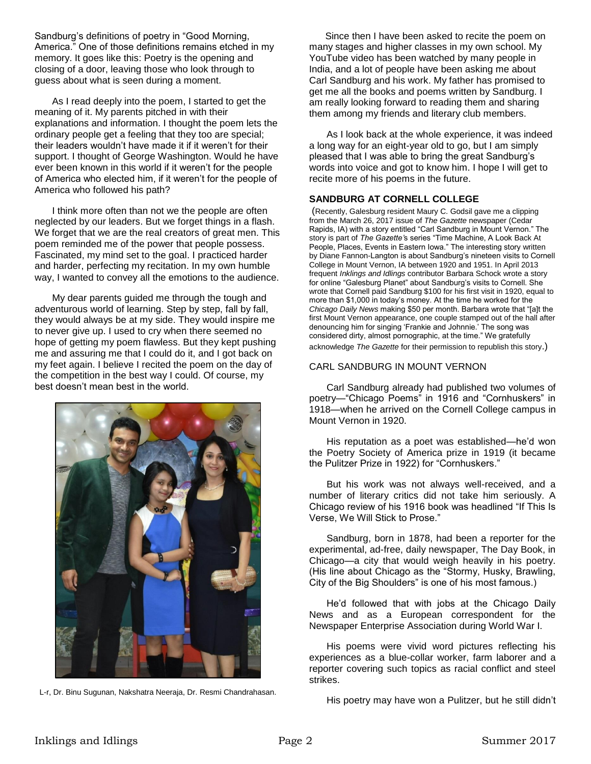Sandburg's definitions of poetry in "Good Morning, America." One of those definitions remains etched in my memory. It goes like this: Poetry is the opening and closing of a door, leaving those who look through to guess about what is seen during a moment.

As I read deeply into the poem, I started to get the meaning of it. My parents pitched in with their explanations and information. I thought the poem lets the ordinary people get a feeling that they too are special; their leaders wouldn't have made it if it weren't for their support. I thought of George Washington. Would he have ever been known in this world if it weren't for the people of America who elected him, if it weren't for the people of America who followed his path?

I think more often than not we the people are often neglected by our leaders. But we forget things in a flash. We forget that we are the real creators of great men. This poem reminded me of the power that people possess. Fascinated, my mind set to the goal. I practiced harder and harder, perfecting my recitation. In my own humble way, I wanted to convey all the emotions to the audience.

My dear parents guided me through the tough and adventurous world of learning. Step by step, fall by fall, they would always be at my side. They would inspire me to never give up. I used to cry when there seemed no hope of getting my poem flawless. But they kept pushing me and assuring me that I could do it, and I got back on my feet again. I believe I recited the poem on the day of the competition in the best way I could. Of course, my best doesn't mean best in the world.



L-r, Dr. Binu Sugunan, Nakshatra Neeraja, Dr. Resmi Chandrahasan.

 Since then I have been asked to recite the poem on many stages and higher classes in my own school. My YouTube video has been watched by many people in India, and a lot of people have been asking me about Carl Sandburg and his work. My father has promised to get me all the books and poems written by Sandburg. I am really looking forward to reading them and sharing them among my friends and literary club members.

As I look back at the whole experience, it was indeed a long way for an eight-year old to go, but I am simply pleased that I was able to bring the great Sandburg's words into voice and got to know him. I hope I will get to recite more of his poems in the future.

#### **SANDBURG AT CORNELL COLLEGE**

(Recently, Galesburg resident Maury C. Godsil gave me a clipping from the March 26, 2017 issue of *The Gazette* newspaper (Cedar Rapids, IA) with a story entitled "Carl Sandburg in Mount Vernon." The story is part of *The Gazette'*s series "Time Machine, A Look Back At People, Places, Events in Eastern Iowa." The interesting story written by Diane Fannon-Langton is about Sandburg's nineteen visits to Cornell College in Mount Vernon, IA between 1920 and 1951. In April 2013 frequent *Inklings and Idlings* contributor Barbara Schock wrote a story for online "Galesburg Planet" about Sandburg's visits to Cornell. She wrote that Cornell paid Sandburg \$100 for his first visit in 1920, equal to more than \$1,000 in today's money. At the time he worked for the *Chicago Daily News* making \$50 per month. Barbara wrote that "[a]t the first Mount Vernon appearance, one couple stamped out of the hall after denouncing him for singing 'Frankie and Johnnie.' The song was considered dirty, almost pornographic, at the time." We gratefully acknowledge *The Gazette* for their permission to republish this story.)

#### CARL SANDBURG IN MOUNT VERNON

Carl Sandburg already had published two volumes of poetry—"Chicago Poems" in 1916 and "Cornhuskers" in 1918—when he arrived on the Cornell College campus in Mount Vernon in 1920.

His reputation as a poet was established—he'd won the Poetry Society of America prize in 1919 (it became the Pulitzer Prize in 1922) for "Cornhuskers."

But his work was not always well-received, and a number of literary critics did not take him seriously. A Chicago review of his 1916 book was headlined "If This Is Verse, We Will Stick to Prose."

Sandburg, born in 1878, had been a reporter for the experimental, ad-free, daily newspaper, The Day Book, in Chicago—a city that would weigh heavily in his poetry. (His line about Chicago as the "Stormy, Husky, Brawling, City of the Big Shoulders" is one of his most famous.)

He'd followed that with jobs at the Chicago Daily News and as a European correspondent for the Newspaper Enterprise Association during World War I.

His poems were vivid word pictures reflecting his experiences as a blue-collar worker, farm laborer and a reporter covering such topics as racial conflict and steel strikes.

His poetry may have won a Pulitzer, but he still didn't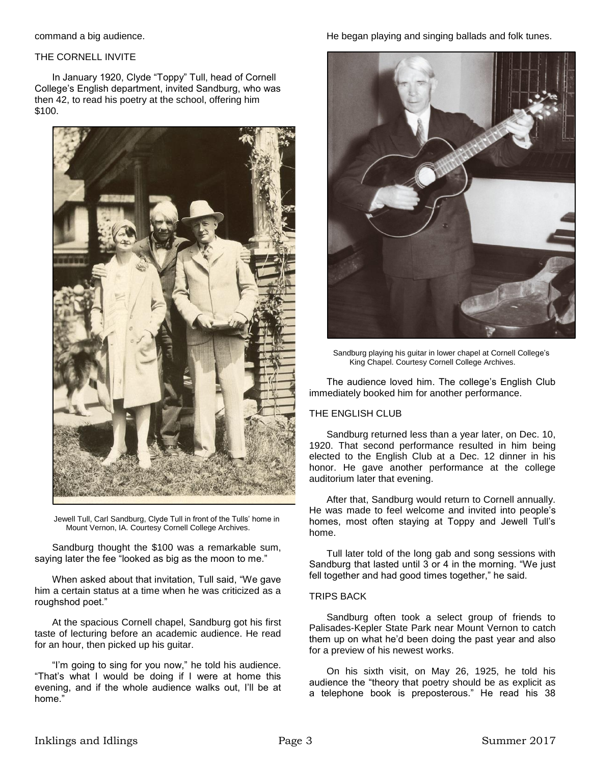command a big audience.

#### THE CORNELL INVITE

In January 1920, Clyde "Toppy" Tull, head of Cornell College's English department, invited Sandburg, who was then 42, to read his poetry at the school, offering him \$100.



Jewell Tull, Carl Sandburg, Clyde Tull in front of the Tulls' home in Mount Vernon, IA. Courtesy Cornell College Archives.

Sandburg thought the \$100 was a remarkable sum, saying later the fee "looked as big as the moon to me."

When asked about that invitation, Tull said, "We gave him a certain status at a time when he was criticized as a roughshod poet."

At the spacious Cornell chapel, Sandburg got his first taste of lecturing before an academic audience. He read for an hour, then picked up his guitar.

"I'm going to sing for you now," he told his audience. "That's what I would be doing if I were at home this evening, and if the whole audience walks out, I'll be at home."

## He began playing and singing ballads and folk tunes.



Sandburg playing his guitar in lower chapel at Cornell College's King Chapel. Courtesy Cornell College Archives.

The audience loved him. The college's English Club immediately booked him for another performance.

## THE ENGLISH CLUB

Sandburg returned less than a year later, on Dec. 10, 1920. That second performance resulted in him being elected to the English Club at a Dec. 12 dinner in his honor. He gave another performance at the college auditorium later that evening.

After that, Sandburg would return to Cornell annually. He was made to feel welcome and invited into people's homes, most often staying at Toppy and Jewell Tull's home.

Tull later told of the long gab and song sessions with Sandburg that lasted until 3 or 4 in the morning. "We just fell together and had good times together," he said.

#### TRIPS BACK

Sandburg often took a select group of friends to Palisades-Kepler State Park near Mount Vernon to catch them up on what he'd been doing the past year and also for a preview of his newest works.

On his sixth visit, on May 26, 1925, he told his audience the "theory that poetry should be as explicit as a telephone book is preposterous." He read his 38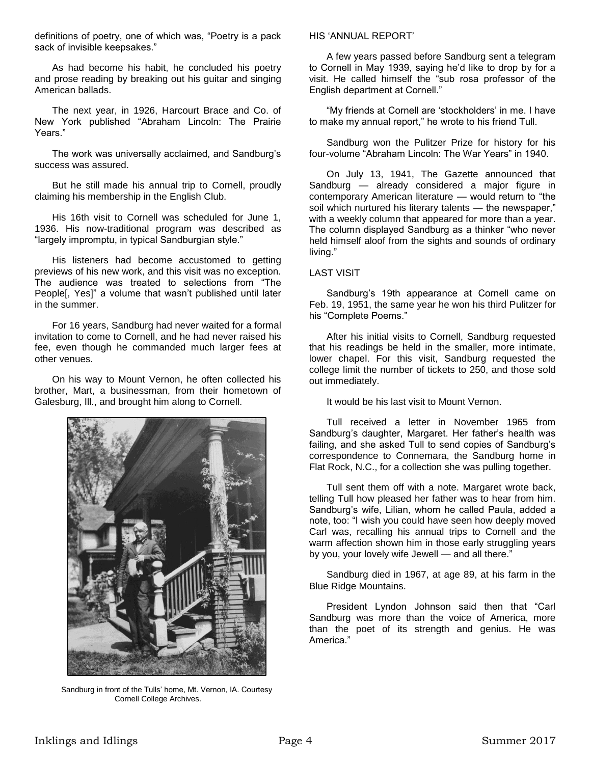definitions of poetry, one of which was, "Poetry is a pack sack of invisible keepsakes."

As had become his habit, he concluded his poetry and prose reading by breaking out his guitar and singing American ballads.

The next year, in 1926, Harcourt Brace and Co. of New York published "Abraham Lincoln: The Prairie Years."

The work was universally acclaimed, and Sandburg's success was assured.

But he still made his annual trip to Cornell, proudly claiming his membership in the English Club.

His 16th visit to Cornell was scheduled for June 1, 1936. His now-traditional program was described as "largely impromptu, in typical Sandburgian style."

His listeners had become accustomed to getting previews of his new work, and this visit was no exception. The audience was treated to selections from "The People[, Yes]" a volume that wasn't published until later in the summer.

For 16 years, Sandburg had never waited for a formal invitation to come to Cornell, and he had never raised his fee, even though he commanded much larger fees at other venues.

On his way to Mount Vernon, he often collected his brother, Mart, a businessman, from their hometown of Galesburg, Ill., and brought him along to Cornell.



Sandburg in front of the Tulls' home, Mt. Vernon, IA. Courtesy Cornell College Archives.

#### HIS 'ANNUAL REPORT'

A few years passed before Sandburg sent a telegram to Cornell in May 1939, saying he'd like to drop by for a visit. He called himself the "sub rosa professor of the English department at Cornell."

"My friends at Cornell are 'stockholders' in me. I have to make my annual report," he wrote to his friend Tull.

Sandburg won the Pulitzer Prize for history for his four-volume "Abraham Lincoln: The War Years" in 1940.

On July 13, 1941, The Gazette announced that Sandburg — already considered a major figure in contemporary American literature — would return to "the soil which nurtured his literary talents - the newspaper," with a weekly column that appeared for more than a year. The column displayed Sandburg as a thinker "who never held himself aloof from the sights and sounds of ordinary living."

## LAST VISIT

Sandburg's 19th appearance at Cornell came on Feb. 19, 1951, the same year he won his third Pulitzer for his "Complete Poems."

After his initial visits to Cornell, Sandburg requested that his readings be held in the smaller, more intimate, lower chapel. For this visit, Sandburg requested the college limit the number of tickets to 250, and those sold out immediately.

It would be his last visit to Mount Vernon.

Tull received a letter in November 1965 from Sandburg's daughter, Margaret. Her father's health was failing, and she asked Tull to send copies of Sandburg's correspondence to Connemara, the Sandburg home in Flat Rock, N.C., for a collection she was pulling together.

Tull sent them off with a note. Margaret wrote back, telling Tull how pleased her father was to hear from him. Sandburg's wife, Lilian, whom he called Paula, added a note, too: "I wish you could have seen how deeply moved Carl was, recalling his annual trips to Cornell and the warm affection shown him in those early struggling years by you, your lovely wife Jewell — and all there."

Sandburg died in 1967, at age 89, at his farm in the Blue Ridge Mountains.

President Lyndon Johnson said then that "Carl Sandburg was more than the voice of America, more than the poet of its strength and genius. He was America."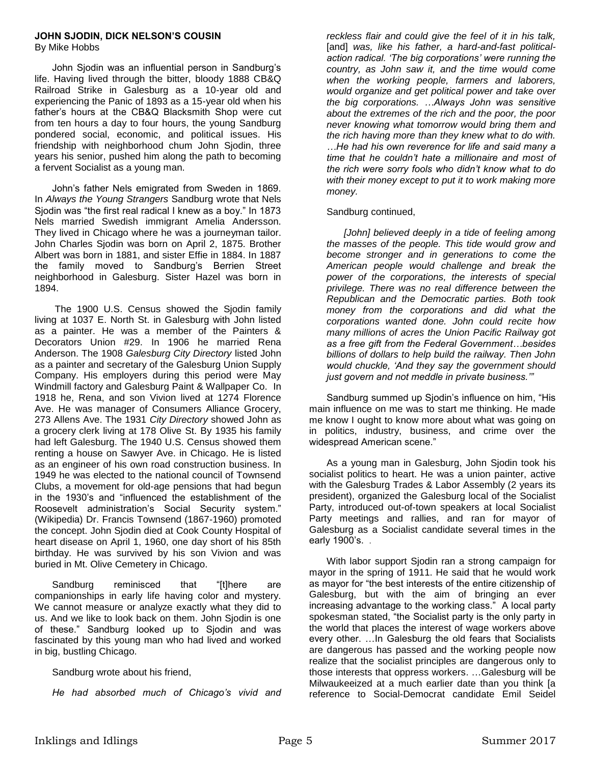## **JOHN SJODIN, DICK NELSON'S COUSIN**

By Mike Hobbs

John Sjodin was an influential person in Sandburg's life. Having lived through the bitter, bloody 1888 CB&Q Railroad Strike in Galesburg as a 10-year old and experiencing the Panic of 1893 as a 15-year old when his father's hours at the CB&Q Blacksmith Shop were cut from ten hours a day to four hours, the young Sandburg pondered social, economic, and political issues. His friendship with neighborhood chum John Sjodin, three years his senior, pushed him along the path to becoming a fervent Socialist as a young man.

John's father Nels emigrated from Sweden in 1869. In *Always the Young Strangers* Sandburg wrote that Nels Sjodin was "the first real radical I knew as a boy." In 1873 Nels married Swedish immigrant Amelia Andersson. They lived in Chicago where he was a journeyman tailor. John Charles Sjodin was born on April 2, 1875. Brother Albert was born in 1881, and sister Effie in 1884. In 1887 the family moved to Sandburg's Berrien Street neighborhood in Galesburg. Sister Hazel was born in 1894.

The 1900 U.S. Census showed the Sjodin family living at 1037 E. North St. in Galesburg with John listed as a painter. He was a member of the Painters & Decorators Union #29. In 1906 he married Rena Anderson. The 1908 *Galesburg City Directory* listed John as a painter and secretary of the Galesburg Union Supply Company. His employers during this period were May Windmill factory and Galesburg Paint & Wallpaper Co. In 1918 he, Rena, and son Vivion lived at 1274 Florence Ave. He was manager of Consumers Alliance Grocery, 273 Allens Ave. The 1931 *City Directory* showed John as a grocery clerk living at 178 Olive St. By 1935 his family had left Galesburg. The 1940 U.S. Census showed them renting a house on Sawyer Ave. in Chicago. He is listed as an engineer of his own road construction business. In 1949 he was elected to the national council of Townsend Clubs, a movement for old-age pensions that had begun in the 1930's and "influenced the establishment of the Roosevelt administration's Social Security system." (Wikipedia) Dr. Francis Townsend (1867-1960) promoted the concept. John Sjodin died at Cook County Hospital of heart disease on April 1, 1960, one day short of his 85th birthday. He was survived by his son Vivion and was buried in Mt. Olive Cemetery in Chicago.

Sandburg reminisced that "[t]here are companionships in early life having color and mystery. We cannot measure or analyze exactly what they did to us. And we like to look back on them. John Sjodin is one of these." Sandburg looked up to Sjodin and was fascinated by this young man who had lived and worked in big, bustling Chicago.

Sandburg wrote about his friend,

*He had absorbed much of Chicago's vivid and* 

*reckless flair and could give the feel of it in his talk,*  [and] *was, like his father, a hard-and-fast politicalaction radical. 'The big corporations' were running the country, as John saw it, and the time would come when the working people, farmers and laborers, would organize and get political power and take over the big corporations. …Always John was sensitive about the extremes of the rich and the poor, the poor never knowing what tomorrow would bring them and the rich having more than they knew what to do with. …He had his own reverence for life and said many a time that he couldn't hate a millionaire and most of the rich were sorry fools who didn't know what to do with their money except to put it to work making more money.*

## Sandburg continued,

*[John] believed deeply in a tide of feeling among the masses of the people. This tide would grow and become stronger and in generations to come the American people would challenge and break the power of the corporations, the interests of special privilege. There was no real difference between the Republican and the Democratic parties. Both took money from the corporations and did what the corporations wanted done. John could recite how many millions of acres the Union Pacific Railway got as a free gift from the Federal Government…besides billions of dollars to help build the railway. Then John would chuckle, 'And they say the government should just govern and not meddle in private business.'"*

Sandburg summed up Sjodin's influence on him, "His main influence on me was to start me thinking. He made me know I ought to know more about what was going on in politics, industry, business, and crime over the widespread American scene."

As a young man in Galesburg, John Sjodin took his socialist politics to heart. He was a union painter, active with the Galesburg Trades & Labor Assembly (2 years its president), organized the Galesburg local of the Socialist Party, introduced out-of-town speakers at local Socialist Party meetings and rallies, and ran for mayor of Galesburg as a Socialist candidate several times in the early 1900's. .

With labor support Sjodin ran a strong campaign for mayor in the spring of 1911. He said that he would work as mayor for "the best interests of the entire citizenship of Galesburg, but with the aim of bringing an ever increasing advantage to the working class." A local party spokesman stated, "the Socialist party is the only party in the world that places the interest of wage workers above every other. …In Galesburg the old fears that Socialists are dangerous has passed and the working people now realize that the socialist principles are dangerous only to those interests that oppress workers. …Galesburg will be Milwaukeeized at a much earlier date than you think [a reference to Social-Democrat candidate Emil Seidel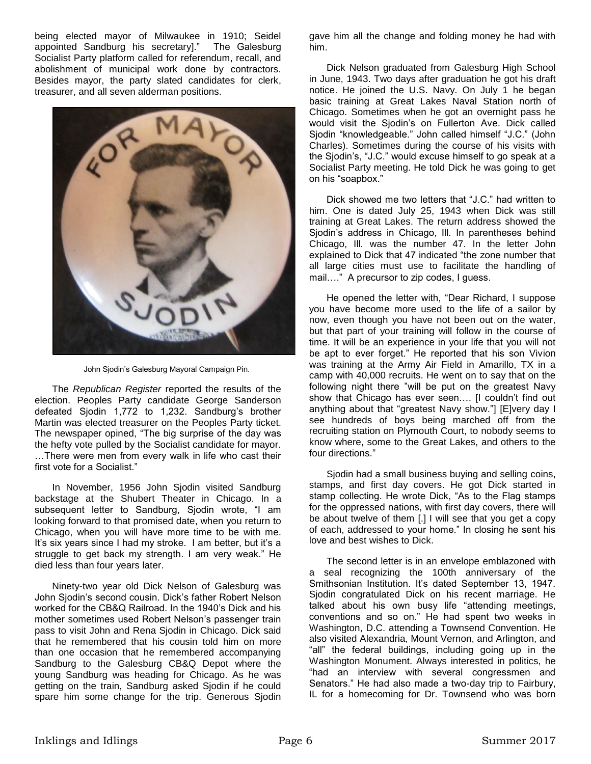being elected mayor of Milwaukee in 1910; Seidel appointed Sandburg his secretary]." The Galesburg Socialist Party platform called for referendum, recall, and abolishment of municipal work done by contractors. Besides mayor, the party slated candidates for clerk, treasurer, and all seven alderman positions.



John Sjodin's Galesburg Mayoral Campaign Pin.

The *Republican Register* reported the results of the election. Peoples Party candidate George Sanderson defeated Sjodin 1,772 to 1,232. Sandburg's brother Martin was elected treasurer on the Peoples Party ticket. The newspaper opined, "The big surprise of the day was the hefty vote pulled by the Socialist candidate for mayor. …There were men from every walk in life who cast their first vote for a Socialist."

In November, 1956 John Sjodin visited Sandburg backstage at the Shubert Theater in Chicago. In a subsequent letter to Sandburg, Sjodin wrote, "I am looking forward to that promised date, when you return to Chicago, when you will have more time to be with me. It's six years since I had my stroke. I am better, but it's a struggle to get back my strength. I am very weak." He died less than four years later.

Ninety-two year old Dick Nelson of Galesburg was John Sjodin's second cousin. Dick's father Robert Nelson worked for the CB&Q Railroad. In the 1940's Dick and his mother sometimes used Robert Nelson's passenger train pass to visit John and Rena Sjodin in Chicago. Dick said that he remembered that his cousin told him on more than one occasion that he remembered accompanying Sandburg to the Galesburg CB&Q Depot where the young Sandburg was heading for Chicago. As he was getting on the train, Sandburg asked Sjodin if he could spare him some change for the trip. Generous Sjodin

gave him all the change and folding money he had with him.

Dick Nelson graduated from Galesburg High School in June, 1943. Two days after graduation he got his draft notice. He joined the U.S. Navy. On July 1 he began basic training at Great Lakes Naval Station north of Chicago. Sometimes when he got an overnight pass he would visit the Sjodin's on Fullerton Ave. Dick called Sjodin "knowledgeable." John called himself "J.C." (John Charles). Sometimes during the course of his visits with the Sjodin's, "J.C." would excuse himself to go speak at a Socialist Party meeting. He told Dick he was going to get on his "soapbox."

Dick showed me two letters that "J.C." had written to him. One is dated July 25, 1943 when Dick was still training at Great Lakes. The return address showed the Sjodin's address in Chicago, Ill. In parentheses behind Chicago, Ill. was the number 47. In the letter John explained to Dick that 47 indicated "the zone number that all large cities must use to facilitate the handling of mail…." A precursor to zip codes, I guess.

He opened the letter with, "Dear Richard, I suppose you have become more used to the life of a sailor by now, even though you have not been out on the water, but that part of your training will follow in the course of time. It will be an experience in your life that you will not be apt to ever forget." He reported that his son Vivion was training at the Army Air Field in Amarillo, TX in a camp with 40,000 recruits. He went on to say that on the following night there "will be put on the greatest Navy show that Chicago has ever seen…. [I couldn't find out anything about that "greatest Navy show."] [E]very day I see hundreds of boys being marched off from the recruiting station on Plymouth Court, to nobody seems to know where, some to the Great Lakes, and others to the four directions."

Sjodin had a small business buying and selling coins, stamps, and first day covers. He got Dick started in stamp collecting. He wrote Dick, "As to the Flag stamps for the oppressed nations, with first day covers, there will be about twelve of them [.] I will see that you get a copy of each, addressed to your home." In closing he sent his love and best wishes to Dick.

The second letter is in an envelope emblazoned with a seal recognizing the 100th anniversary of the Smithsonian Institution. It's dated September 13, 1947. Sjodin congratulated Dick on his recent marriage. He talked about his own busy life "attending meetings, conventions and so on." He had spent two weeks in Washington, D.C. attending a Townsend Convention. He also visited Alexandria, Mount Vernon, and Arlington, and "all" the federal buildings, including going up in the Washington Monument. Always interested in politics, he "had an interview with several congressmen and Senators." He had also made a two-day trip to Fairbury, IL for a homecoming for Dr. Townsend who was born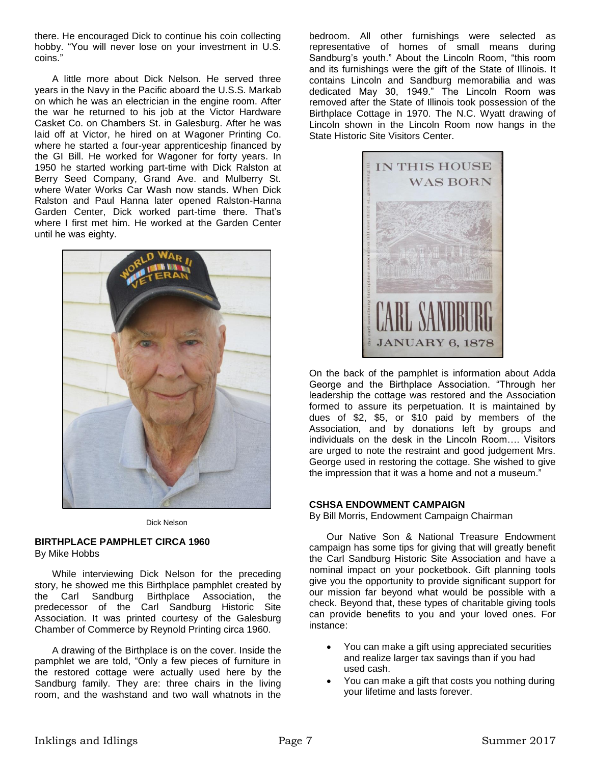there. He encouraged Dick to continue his coin collecting hobby. "You will never lose on your investment in U.S. coins.'

A little more about Dick Nelson. He served three years in the Navy in the Pacific aboard the U.S.S. Markab on which he was an electrician in the engine room. After the war he returned to his job at the Victor Hardware Casket Co. on Chambers St. in Galesburg. After he was laid off at Victor, he hired on at Wagoner Printing Co. where he started a four-year apprenticeship financed by the GI Bill. He worked for Wagoner for forty years. In 1950 he started working part-time with Dick Ralston at Berry Seed Company, Grand Ave. and Mulberry St. where Water Works Car Wash now stands. When Dick Ralston and Paul Hanna later opened Ralston-Hanna Garden Center, Dick worked part-time there. That's where I first met him. He worked at the Garden Center until he was eighty.



Dick Nelson

## **BIRTHPLACE PAMPHLET CIRCA 1960**

By Mike Hobbs

While interviewing Dick Nelson for the preceding story, he showed me this Birthplace pamphlet created by the Carl Sandburg Birthplace Association, the predecessor of the Carl Sandburg Historic Site Association. It was printed courtesy of the Galesburg Chamber of Commerce by Reynold Printing circa 1960.

A drawing of the Birthplace is on the cover. Inside the pamphlet we are told, "Only a few pieces of furniture in the restored cottage were actually used here by the Sandburg family. They are: three chairs in the living room, and the washstand and two wall whatnots in the

bedroom. All other furnishings were selected as representative of homes of small means during Sandburg's youth." About the Lincoln Room, "this room and its furnishings were the gift of the State of Illinois. It contains Lincoln and Sandburg memorabilia and was dedicated May 30, 1949." The Lincoln Room was removed after the State of Illinois took possession of the Birthplace Cottage in 1970. The N.C. Wyatt drawing of Lincoln shown in the Lincoln Room now hangs in the State Historic Site Visitors Center.



On the back of the pamphlet is information about Adda George and the Birthplace Association. "Through her leadership the cottage was restored and the Association formed to assure its perpetuation. It is maintained by dues of \$2, \$5, or \$10 paid by members of the Association, and by donations left by groups and individuals on the desk in the Lincoln Room…. Visitors are urged to note the restraint and good judgement Mrs. George used in restoring the cottage. She wished to give the impression that it was a home and not a museum.'

## **CSHSA ENDOWMENT CAMPAIGN**

By Bill Morris, Endowment Campaign Chairman

Our Native Son & National Treasure Endowment campaign has some tips for giving that will greatly benefit the Carl Sandburg Historic Site Association and have a nominal impact on your pocketbook. Gift planning tools give you the opportunity to provide significant support for our mission far beyond what would be possible with a check. Beyond that, these types of charitable giving tools can provide benefits to you and your loved ones. For instance:

- You can make a gift using appreciated securities and realize larger tax savings than if you had used cash.
- You can make a gift that costs you nothing during your lifetime and lasts forever.